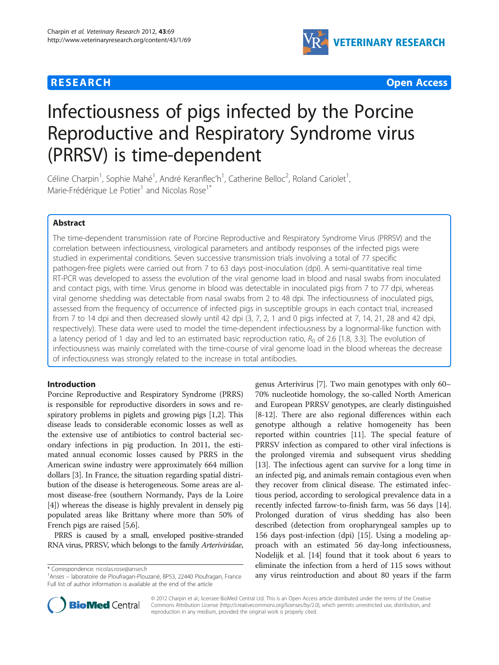## **RESEARCH CHE Open Access**



# Infectiousness of pigs infected by the Porcine Reproductive and Respiratory Syndrome virus (PRRSV) is time-dependent

Céline Charpin<sup>1</sup>, Sophie Mahé<sup>1</sup>, André Keranflec'h<sup>1</sup>, Catherine Belloc<sup>2</sup>, Roland Cariolet<sup>1</sup> , Marie-Frédérique Le Potier<sup>1</sup> and Nicolas Rose<sup>1\*</sup>

## Abstract

The time-dependent transmission rate of Porcine Reproductive and Respiratory Syndrome Virus (PRRSV) and the correlation between infectiousness, virological parameters and antibody responses of the infected pigs were studied in experimental conditions. Seven successive transmission trials involving a total of 77 specific pathogen-free piglets were carried out from 7 to 63 days post-inoculation (dpi). A semi-quantitative real time RT-PCR was developed to assess the evolution of the viral genome load in blood and nasal swabs from inoculated and contact pigs, with time. Virus genome in blood was detectable in inoculated pigs from 7 to 77 dpi, whereas viral genome shedding was detectable from nasal swabs from 2 to 48 dpi. The infectiousness of inoculated pigs, assessed from the frequency of occurrence of infected pigs in susceptible groups in each contact trial, increased from 7 to 14 dpi and then decreased slowly until 42 dpi (3, 7, 2, 1 and 0 pigs infected at 7, 14, 21, 28 and 42 dpi, respectively). These data were used to model the time-dependent infectiousness by a lognormal-like function with a latency period of 1 day and led to an estimated basic reproduction ratio,  $R_0$  of 2.6 [1.8, 3.3]. The evolution of infectiousness was mainly correlated with the time-course of viral genome load in the blood whereas the decrease of infectiousness was strongly related to the increase in total antibodies.

## Introduction

Porcine Reproductive and Respiratory Syndrome (PRRS) is responsible for reproductive disorders in sows and respiratory problems in piglets and growing pigs [[1,2](#page-9-0)]. This disease leads to considerable economic losses as well as the extensive use of antibiotics to control bacterial secondary infections in pig production. In 2011, the estimated annual economic losses caused by PRRS in the American swine industry were approximately 664 million dollars [\[3](#page-9-0)]. In France, the situation regarding spatial distribution of the disease is heterogeneous. Some areas are almost disease-free (southern Normandy, Pays de la Loire [[4\]](#page-9-0)) whereas the disease is highly prevalent in densely pig populated areas like Brittany where more than 50% of French pigs are raised [[5,6](#page-9-0)].

PRRS is caused by a small, enveloped positive-stranded RNA virus, PRRSV, which belongs to the family Arteriviridae,

genus Arterivirus [[7\]](#page-9-0). Two main genotypes with only 60– 70% nucleotide homology, the so-called North American and European PRRSV genotypes, are clearly distinguished [[8-12\]](#page-9-0). There are also regional differences within each genotype although a relative homogeneity has been reported within countries [\[11\]](#page-9-0). The special feature of PRRSV infection as compared to other viral infections is the prolonged viremia and subsequent virus shedding [[13](#page-9-0)]. The infectious agent can survive for a long time in an infected pig, and animals remain contagious even when they recover from clinical disease. The estimated infectious period, according to serological prevalence data in a recently infected farrow-to-finish farm, was 56 days [[14](#page-9-0)]. Prolonged duration of virus shedding has also been described (detection from oropharyngeal samples up to 156 days post-infection (dpi) [\[15\]](#page-10-0). Using a modeling approach with an estimated 56 day-long infectiousness, Nodelijk et al. [\[14](#page-9-0)] found that it took about 6 years to eliminate the infection from a herd of 115 sows without temminate the infection from a flerd of 115 sows without<br>Anses – laboratoire de Ploufragan-Plouzané, BP53, 22440 Ploufragan, France any virus reintroduction and about 80 years if the farm



© 2012 Charpin et al.; licensee BioMed Central Ltd. This is an Open Access article distributed under the terms of the Creative Commons Attribution License [\(http://creativecommons.org/licenses/by/2.0\)](http://creativecommons.org/licenses/by/2.0), which permits unrestricted use, distribution, and reproduction in any medium, provided the original work is properly cited.

<sup>&</sup>lt;sup>1</sup> Anses – laboratoire de Ploufragan-Plouzané, BP53, 22440 Ploufragan, France Full list of author information is available at the end of the article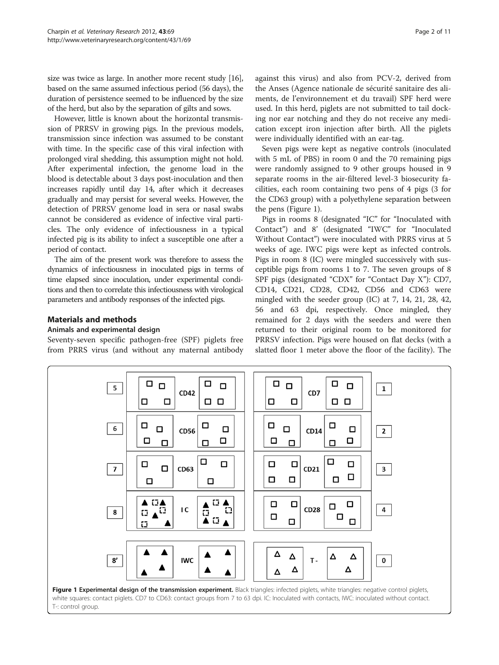size was twice as large. In another more recent study [[16](#page-10-0)], based on the same assumed infectious period (56 days), the duration of persistence seemed to be influenced by the size of the herd, but also by the separation of gilts and sows.

However, little is known about the horizontal transmission of PRRSV in growing pigs. In the previous models, transmission since infection was assumed to be constant with time. In the specific case of this viral infection with prolonged viral shedding, this assumption might not hold. After experimental infection, the genome load in the blood is detectable about 3 days post-inoculation and then increases rapidly until day 14, after which it decreases gradually and may persist for several weeks. However, the detection of PRRSV genome load in sera or nasal swabs cannot be considered as evidence of infective viral particles. The only evidence of infectiousness in a typical infected pig is its ability to infect a susceptible one after a period of contact.

The aim of the present work was therefore to assess the dynamics of infectiousness in inoculated pigs in terms of time elapsed since inoculation, under experimental conditions and then to correlate this infectiousness with virological parameters and antibody responses of the infected pigs.

## Materials and methods

#### Animals and experimental design

5

6

Seventy-seven specific pathogen-free (SPF) piglets free from PRRS virus (and without any maternal antibody

 $\Box$ 

 $\Box$ 

 $\Box$ 

 $\Box$ 

 $\Box$ 

 $\Box$ 

 $\Box$ 

 $\Box$ 

 $\Box$ 

 $\Box$ 

 $\Box$ 

 $\Box$   $\Box$ 

**CD42** 

**CD56** 

 $\Box$ 

 $\Box$ 

 $\Box$ 

against this virus) and also from PCV-2, derived from the Anses (Agence nationale de sécurité sanitaire des aliments, de l'environnement et du travail) SPF herd were used. In this herd, piglets are not submitted to tail docking nor ear notching and they do not receive any medication except iron injection after birth. All the piglets were individually identified with an ear-tag.

Seven pigs were kept as negative controls (inoculated with 5 mL of PBS) in room 0 and the 70 remaining pigs were randomly assigned to 9 other groups housed in 9 separate rooms in the air-filtered level-3 biosecurity facilities, each room containing two pens of 4 pigs (3 for the CD63 group) with a polyethylene separation between the pens (Figure 1).

Pigs in rooms 8 (designated "IC" for "Inoculated with Contact") and 8' (designated "IWC" for "Inoculated Without Contact") were inoculated with PRRS virus at 5 weeks of age. IWC pigs were kept as infected controls. Pigs in room 8 (IC) were mingled successively with susceptible pigs from rooms 1 to 7. The seven groups of 8 SPF pigs (designated "CDX" for "Contact Day X"): CD7, CD14, CD21, CD28, CD42, CD56 and CD63 were mingled with the seeder group (IC) at 7, 14, 21, 28, 42, 56 and 63 dpi, respectively. Once mingled, they remained for 2 days with the seeders and were then returned to their original room to be monitored for PRRSV infection. Pigs were housed on flat decks (with a slatted floor 1 meter above the floor of the facility). The

 $\Box$ 

 $\Box$ 

 $\Box$ 

 $\Box$   $\Box$ 

CD7

 $CD14$ 

 $\Box$ 

 $\Box$ 

 $\Box$ 

 $\mathbf{1}$ 

 $\mathbf{2}$ 

□

 $\Box$ 

 $\Box$ 

 $\Box$ 

 $\Box$ 

 $\Box$ 

 $\Box$ 

 $\Box$ 

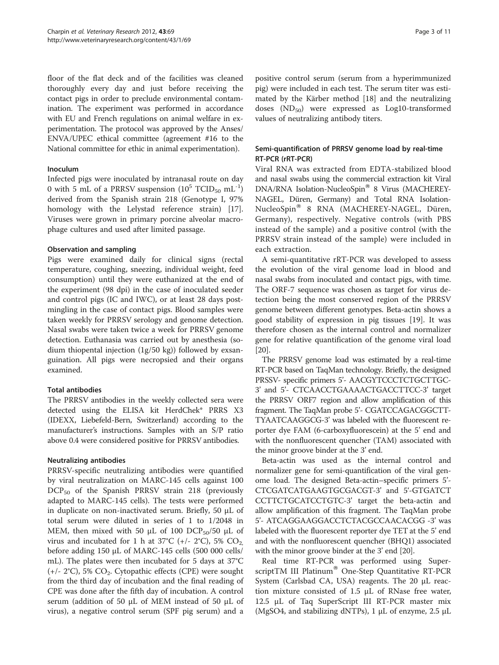floor of the flat deck and of the facilities was cleaned thoroughly every day and just before receiving the contact pigs in order to preclude environmental contamination. The experiment was performed in accordance with EU and French regulations on animal welfare in experimentation. The protocol was approved by the Anses/ ENVA/UPEC ethical committee (agreement #16 to the National committee for ethic in animal experimentation).

#### Inoculum

Infected pigs were inoculated by intranasal route on day 0 with 5 mL of a PRRSV suspension  $(10^5$  TCID<sub>50</sub> mL<sup>-1</sup>) derived from the Spanish strain 218 (Genotype I, 97% homology with the Lelystad reference strain) [\[17](#page-10-0)]. Viruses were grown in primary porcine alveolar macrophage cultures and used after limited passage.

#### Observation and sampling

Pigs were examined daily for clinical signs (rectal temperature, coughing, sneezing, individual weight, feed consumption) until they were euthanized at the end of the experiment (98 dpi) in the case of inoculated seeder and control pigs (IC and IWC), or at least 28 days postmingling in the case of contact pigs. Blood samples were taken weekly for PRRSV serology and genome detection. Nasal swabs were taken twice a week for PRRSV genome detection. Euthanasia was carried out by anesthesia (sodium thiopental injection (1g/50 kg)) followed by exsanguination. All pigs were necropsied and their organs examined.

## Total antibodies

The PRRSV antibodies in the weekly collected sera were detected using the ELISA kit HerdChek\* PRRS X3 (IDEXX, Liebefeld-Bern, Switzerland) according to the manufacturer's instructions. Samples with an S/P ratio above 0.4 were considered positive for PRRSV antibodies.

#### Neutralizing antibodies

PRRSV-specific neutralizing antibodies were quantified by viral neutralization on MARC-145 cells against 100  $DCP_{50}$  of the Spanish PRRSV strain 218 (previously adapted to MARC-145 cells). The tests were performed in duplicate on non-inactivated serum. Briefly, 50 μL of total serum were diluted in series of 1 to 1/2048 in MEM, then mixed with 50  $\mu$ L of 100 DCP<sub>50</sub>/50  $\mu$ L of virus and incubated for 1 h at 37°C (+/- 2°C), 5%  $CO<sub>2</sub>$ , before adding 150 μL of MARC-145 cells (500 000 cells/ mL). The plates were then incubated for 5 days at 37°C  $(+/- 2°C)$ , 5% CO<sub>2</sub>. Cytopathic effects (CPE) were sought from the third day of incubation and the final reading of CPE was done after the fifth day of incubation. A control serum (addition of 50 μL of MEM instead of 50 μL of virus), a negative control serum (SPF pig serum) and a

positive control serum (serum from a hyperimmunized pig) were included in each test. The serum titer was estimated by the Kärber method [\[18](#page-10-0)] and the neutralizing doses  $(ND_{50})$  were expressed as Log10-transformed values of neutralizing antibody titers.

## Semi-quantification of PRRSV genome load by real-time RT-PCR (rRT-PCR)

Viral RNA was extracted from EDTA-stabilized blood and nasal swabs using the commercial extraction kit Viral DNA/RNA Isolation-NucleoSpin® 8 Virus (MACHEREY-NAGEL, Düren, Germany) and Total RNA Isolation-NucleoSpin<sup>®</sup> 8 RNA (MACHEREY-NAGEL, Düren, Germany), respectively. Negative controls (with PBS instead of the sample) and a positive control (with the PRRSV strain instead of the sample) were included in each extraction.

A semi-quantitative rRT-PCR was developed to assess the evolution of the viral genome load in blood and nasal swabs from inoculated and contact pigs, with time. The ORF-7 sequence was chosen as target for virus detection being the most conserved region of the PRRSV genome between different genotypes. Beta-actin shows a good stability of expression in pig tissues [\[19\]](#page-10-0). It was therefore chosen as the internal control and normalizer gene for relative quantification of the genome viral load [[20\]](#page-10-0).

The PRRSV genome load was estimated by a real-time RT-PCR based on TaqMan technology. Briefly, the designed PRSSV- specific primers 5'- AACGYTCCCTCTGCTTGC-3' and 5'- CTCAACCTGAAAACTGACCTTCC-3' target the PRRSV ORF7 region and allow amplification of this fragment. The TaqMan probe 5'- CGATCCAGACGGCTT-TYAATCAAGGCG-3' was labeled with the fluorescent reporter dye FAM (6-carboxyfluorescein) at the 5' end and with the nonfluorescent quencher (TAM) associated with the minor groove binder at the 3' end.

Beta-actin was used as the internal control and normalizer gene for semi-quantification of the viral genome load. The designed Beta-actin–specific primers 5'- CTCGATCATGAAGTGCGACGT-3' and 5'-GTGATCT CCTTCTGCATCCTGTC-3' target the beta-actin and allow amplification of this fragment. The TaqMan probe 5'- ATCAGGAAGGACCTCTACGCCAACACGG -3' was labeled with the fluorescent reporter dye TET at the 5' end and with the nonfluorescent quencher (BHQ1) associated with the minor groove binder at the 3' end [\[20\]](#page-10-0).

Real time RT-PCR was performed using SuperscriptTM III Platinum<sup>®</sup> One-Step Quantitative RT-PCR System (Carlsbad CA, USA) reagents. The 20 μL reaction mixture consisted of 1.5 μL of RNase free water, 12.5 μL of Taq SuperScript III RT-PCR master mix (MgSO4, and stabilizing dNTPs), 1 μL of enzyme, 2.5 μL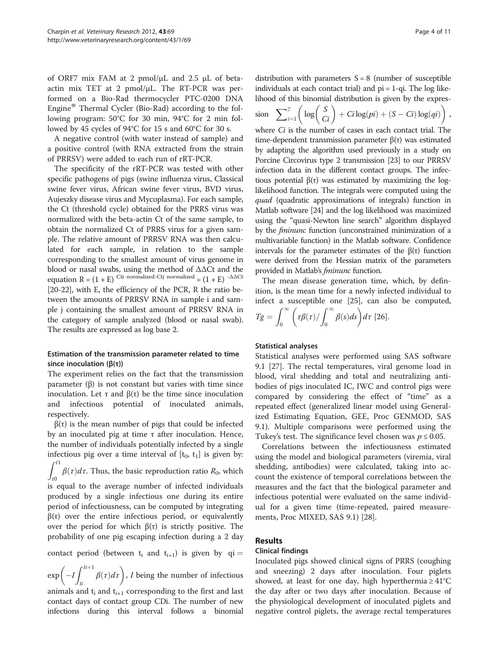of ORF7 mix FAM at 2 pmol/μL and 2.5 μL of betaactin mix TET at 2 pmol/μL. The RT-PCR was performed on a Bio-Rad thermocycler PTC-0200 DNA Engine<sup>®</sup> Thermal Cycler (Bio-Rad) according to the following program: 50°C for 30 min, 94°C for 2 min followed by 45 cycles of 94°C for 15 s and 60°C for 30 s.

A negative control (with water instead of sample) and a positive control (with RNA extracted from the strain of PRRSV) were added to each run of rRT-PCR.

The specificity of the rRT-PCR was tested with other specific pathogens of pigs (swine influenza virus, Classical swine fever virus, African swine fever virus, BVD virus, Aujeszky disease virus and Mycoplasma). For each sample, the Ct (threshold cycle) obtained for the PRRS virus was normalized with the beta-actin Ct of the same sample, to obtain the normalized Ct of PRRS virus for a given sample. The relative amount of PRRSV RNA was then calculated for each sample, in relation to the sample corresponding to the smallest amount of virus genome in blood or nasal swabs, using the method of ΔΔCt and the equation  $R = (1 + E)^{Cti}$  normalized-Ctj normalized =  $(1 + E)^{-\Delta\Delta Ct}$ [[20](#page-10-0)-[22\]](#page-10-0), with E, the efficiency of the PCR, R the ratio between the amounts of PRRSV RNA in sample i and sample j containing the smallest amount of PRRSV RNA in the category of sample analyzed (blood or nasal swab). The results are expressed as log base 2.

## Estimation of the transmission parameter related to time since inoculation ( $β(τ)$ )

The experiment relies on the fact that the transmission parameter (β) is not constant but varies with time since inoculation. Let τ and β(τ) be the time since inoculation and infectious potential of inoculated animals, respectively.

 $β(τ)$  is the mean number of pigs that could be infected by an inoculated pig at time τ after inoculation. Hence, the number of individuals potentially infected by a single infectious pig over a time interval of  $[t_0, t_1]$  is given by:  $\int_0^{t_1}$  $\int_{t0} \beta(\tau) d\tau$ . Thus, the basic reproduction ratio  $R_0$ , which is equal to the average number of infected individuals produced by a single infectious one during its entire period of infectiousness, can be computed by integrating  $\beta(\tau)$  over the entire infectious period, or equivalently over the period for which  $β(τ)$  is strictly positive. The probability of one pig escaping infection during a 2 day

contact period (between  $t_i$  and  $t_{i+1}$ ) is given by qi =

 $\exp\left(-I\int_{0}^{ti+1}$  $\left(-I\int_{ti}^{t+1} \beta(\tau) d\tau\right)$ , *I* being the number of infectious

animals and  $t_i$  and  $t_{i+1}$  corresponding to the first and last contact days of contact group CDi. The number of new infections during this interval follows a binomial

distribution with parameters  $S = 8$  (number of susceptible individuals at each contact trial) and  $pi = 1$ -qi. The log likelihood of this binomial distribution is given by the expres-

$$
\sin \sum_{i=1}^{7} \left( \log \left( \frac{S}{Ci} \right) + Ci \log (pi) + (S - Ci) \log (qi) \right),
$$

where *Ci* is the number of cases in each contact trial. The time-dependent transmission parameter β(τ) was estimated by adapting the algorithm used previously in a study on Porcine Circovirus type 2 transmission [[23](#page-10-0)] to our PRRSV infection data in the different contact groups. The infectious potential  $β(τ)$  was estimated by maximizing the loglikelihood function. The integrals were computed using the quad (quadratic approximations of integrals) function in Matlab software [\[24](#page-10-0)] and the log likelihood was maximized using the "quasi-Newton line search" algorithm displayed by the fminunc function (unconstrained minimization of a multivariable function) in the Matlab software. Confidence intervals for the parameter estimates of the β(τ) function were derived from the Hessian matrix of the parameters provided in Matlab's *fminunc* function.

The mean disease generation time, which, by definition, is the mean time for a newly infected individual to infect a susceptible one [[25\]](#page-10-0), can also be computed,

$$
Tg = \int_0^\infty \left( \frac{\tau \beta(\tau)}{\int_0^\infty \beta(s) ds} \right) d\tau
$$
 [26].

## Statistical analyses

Statistical analyses were performed using SAS software 9.1 [\[27\]](#page-10-0). The rectal temperatures, viral genome load in blood, viral shedding and total and neutralizing antibodies of pigs inoculated IC, IWC and control pigs were compared by considering the effect of "time" as a repeated effect (generalized linear model using Generalized Estimating Equation, GEE, Proc GENMOD, SAS 9.1). Multiple comparisons were performed using the Tukey's test. The significance level chosen was  $p \le 0.05$ .

Correlations between the infectiousness estimated using the model and biological parameters (viremia, viral shedding, antibodies) were calculated, taking into account the existence of temporal correlations between the measures and the fact that the biological parameter and infectious potential were evaluated on the same individual for a given time (time-repeated, paired measurements, Proc MIXED, SAS 9.1) [[28](#page-10-0)].

## Results

#### Clinical findings

Inoculated pigs showed clinical signs of PRRS (coughing and sneezing) 2 days after inoculation. Four piglets showed, at least for one day, high hyperthermia  $\geq 41^{\circ}C$ the day after or two days after inoculation. Because of the physiological development of inoculated piglets and negative control piglets, the average rectal temperatures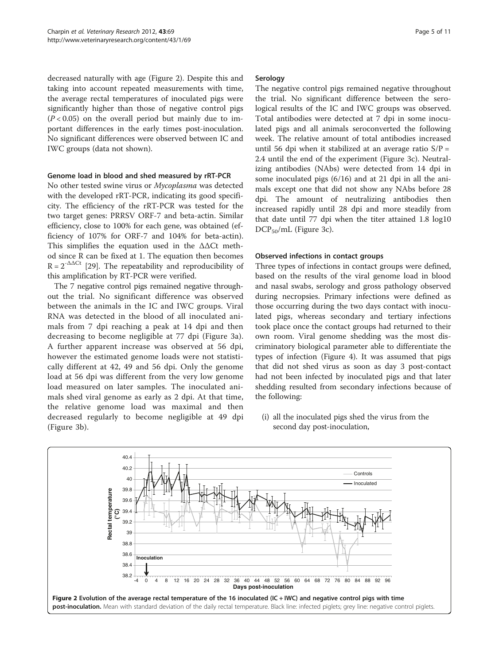decreased naturally with age (Figure 2). Despite this and taking into account repeated measurements with time, the average rectal temperatures of inoculated pigs were significantly higher than those of negative control pigs  $(P < 0.05)$  on the overall period but mainly due to important differences in the early times post-inoculation. No significant differences were observed between IC and IWC groups (data not shown).

#### Genome load in blood and shed measured by rRT-PCR

No other tested swine virus or Mycoplasma was detected with the developed rRT-PCR, indicating its good specificity. The efficiency of the rRT-PCR was tested for the two target genes: PRRSV ORF-7 and beta-actin. Similar efficiency, close to 100% for each gene, was obtained (efficiency of 107% for ORF-7 and 104% for beta-actin). This simplifies the equation used in the  $\Delta\Delta$ Ct method since R can be fixed at 1. The equation then becomes  $R = 2^{-\Delta\Delta Ct}$  [[29](#page-10-0)]. The repeatability and reproducibility of this amplification by RT-PCR were verified.

The 7 negative control pigs remained negative throughout the trial. No significant difference was observed between the animals in the IC and IWC groups. Viral RNA was detected in the blood of all inoculated animals from 7 dpi reaching a peak at 14 dpi and then decreasing to become negligible at 77 dpi (Figure [3a](#page-5-0)). A further apparent increase was observed at 56 dpi, however the estimated genome loads were not statistically different at 42, 49 and 56 dpi. Only the genome load at 56 dpi was different from the very low genome load measured on later samples. The inoculated animals shed viral genome as early as 2 dpi. At that time, the relative genome load was maximal and then decreased regularly to become negligible at 49 dpi (Figure [3](#page-5-0)b).

#### Serology

The negative control pigs remained negative throughout the trial. No significant difference between the serological results of the IC and IWC groups was observed. Total antibodies were detected at 7 dpi in some inoculated pigs and all animals seroconverted the following week. The relative amount of total antibodies increased until 56 dpi when it stabilized at an average ratio  $S/P =$ 2.4 until the end of the experiment (Figure [3](#page-5-0)c). Neutralizing antibodies (NAbs) were detected from 14 dpi in some inoculated pigs (6/16) and at 21 dpi in all the animals except one that did not show any NAbs before 28 dpi. The amount of neutralizing antibodies then increased rapidly until 28 dpi and more steadily from that date until 77 dpi when the titer attained 1.8 log10 DCP<sub>50</sub>/mL (Figure [3c](#page-5-0)).

#### Observed infections in contact groups

Three types of infections in contact groups were defined, based on the results of the viral genome load in blood and nasal swabs, serology and gross pathology observed during necropsies. Primary infections were defined as those occurring during the two days contact with inoculated pigs, whereas secondary and tertiary infections took place once the contact groups had returned to their own room. Viral genome shedding was the most discriminatory biological parameter able to differentiate the types of infection (Figure [4\)](#page-6-0). It was assumed that pigs that did not shed virus as soon as day 3 post-contact had not been infected by inoculated pigs and that later shedding resulted from secondary infections because of the following:

(i) all the inoculated pigs shed the virus from the second day post-inoculation,

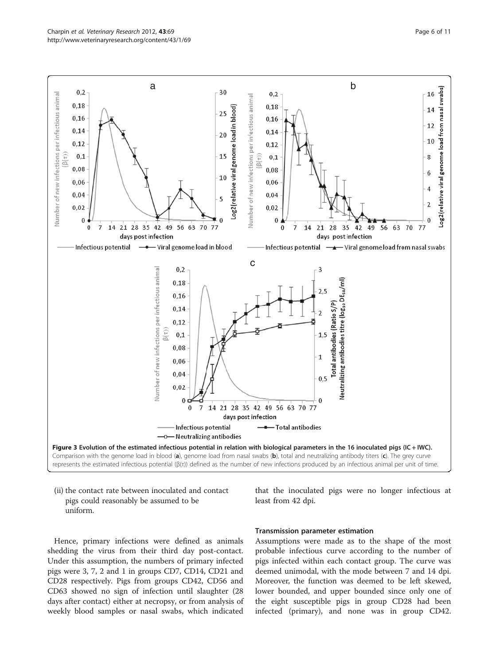<span id="page-5-0"></span>

(ii) the contact rate between inoculated and contact pigs could reasonably be assumed to be uniform.

that the inoculated pigs were no longer infectious at least from 42 dpi.

Hence, primary infections were defined as animals shedding the virus from their third day post-contact. Under this assumption, the numbers of primary infected pigs were 3, 7, 2 and 1 in groups CD7, CD14, CD21 and CD28 respectively. Pigs from groups CD42, CD56 and CD63 showed no sign of infection until slaughter (28 days after contact) either at necropsy, or from analysis of weekly blood samples or nasal swabs, which indicated

#### Transmission parameter estimation

Assumptions were made as to the shape of the most probable infectious curve according to the number of pigs infected within each contact group. The curve was deemed unimodal, with the mode between 7 and 14 dpi. Moreover, the function was deemed to be left skewed, lower bounded, and upper bounded since only one of the eight susceptible pigs in group CD28 had been infected (primary), and none was in group CD42.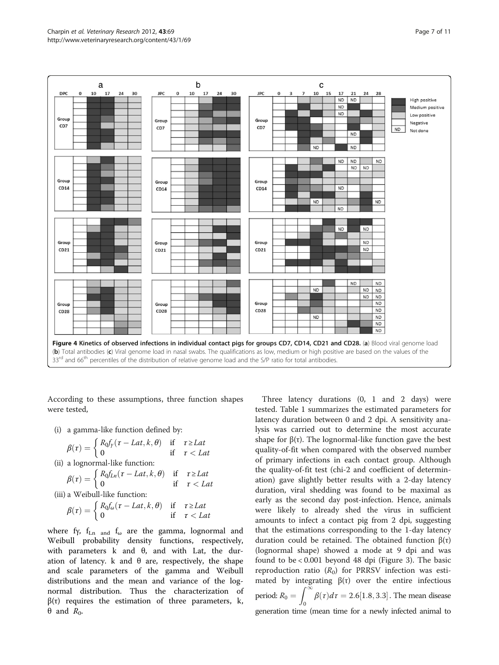<span id="page-6-0"></span>

According to these assumptions, three function shapes were tested,

(i) a gamma-like function defined by:

$$
\beta(\tau) = \begin{cases} R_0 f_y(\tau - Lat, k, \theta) & \text{if } \tau \ge Lat \\ 0 & \text{if } \tau < Lat \end{cases}
$$
  
(ii) a lognormal-like function:

a lognormal-like function:  
\n
$$
\int R_0 f_{Ln}(\tau - Lat, k, \theta) \quad \text{if} \quad \tau
$$

$$
\beta(\tau) = \begin{cases} R_0 f_{Ln}(\tau - Lat, k, \theta) & \text{if } \tau \ge Lat \\ 0 & \text{if } \tau < Lat \end{cases}
$$

 $\geq Lat$ 

(iii) a Weibull-like function:

$$
\beta(\tau) = \begin{cases} R_0 f_\omega(\tau - Lat, k, \theta) & \text{if } \tau \ge Lat \\ 0 & \text{if } \tau < Lat \end{cases}
$$

where fy,  $f_{Ln}$  and  $f_{\omega}$  are the gamma, lognormal and Weibull probability density functions, respectively, with parameters  $k$  and  $θ$ , and with Lat, the duration of latency. k and  $θ$  are, respectively, the shape and scale parameters of the gamma and Weibull distributions and the mean and variance of the lognormal distribution. Thus the characterization of  $\beta(\tau)$  requires the estimation of three parameters, k,  $θ$  and  $R_0$ .

Three latency durations (0, 1 and 2 days) were tested. Table [1](#page-7-0) summarizes the estimated parameters for latency duration between 0 and 2 dpi. A sensitivity analysis was carried out to determine the most accurate shape for  $\beta(\tau)$ . The lognormal-like function gave the best quality-of-fit when compared with the observed number of primary infections in each contact group. Although the quality-of-fit test (chi-2 and coefficient of determination) gave slightly better results with a 2-day latency duration, viral shedding was found to be maximal as early as the second day post-infection. Hence, animals were likely to already shed the virus in sufficient amounts to infect a contact pig from 2 dpi, suggesting that the estimations corresponding to the 1-day latency duration could be retained. The obtained function β(τ) (lognormal shape) showed a mode at 9 dpi and was found to be < 0.001 beyond 48 dpi (Figure [3](#page-5-0)). The basic reproduction ratio  $(R_0)$  for PRRSV infection was estimated by integrating  $β(τ)$  over the entire infectious period:  $R_0 = \int_{0}^{\infty}$  $\int_{0}^{\pi} \beta(\tau) d\tau = 2.6[1.8, 3.3]$ . The mean disease generation time (mean time for a newly infected animal to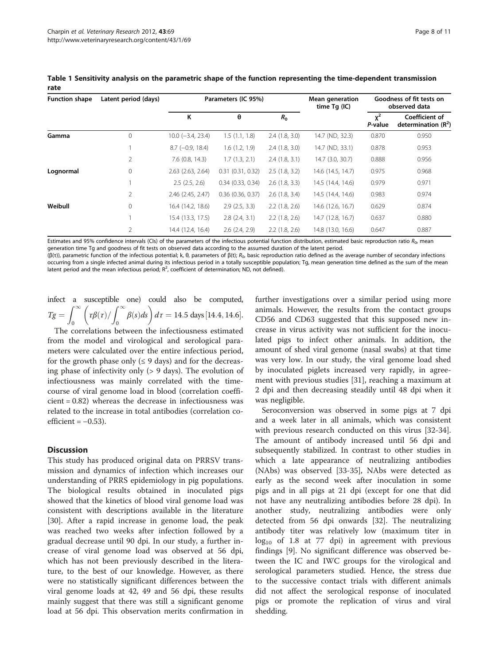| <b>Function shape</b> | Latent period (days) | Parameters (IC 95%)    |                       |               | <b>Mean generation</b><br>time $Tg$ (IC) | Goodness of fit tests on<br>observed data |                                        |
|-----------------------|----------------------|------------------------|-----------------------|---------------|------------------------------------------|-------------------------------------------|----------------------------------------|
|                       |                      | Κ                      | θ                     | $R_0$         |                                          | $v^2$<br>P-value                          | Coefficient of<br>determination $(R2)$ |
| Gamma                 | 0                    | $10.0 (-3.4, 23.4)$    | 1.5(1.1, 1.8)         | 2.4(1.8, 3.0) | 14.7 (ND, 32.3)                          | 0.870                                     | 0.950                                  |
|                       |                      | $8.7$ ( $-0.9$ , 18.4) | 1.6(1.2, 1.9)         | 2.4(1.8, 3.0) | 14.7 (ND, 33.1)                          | 0.878                                     | 0.953                                  |
|                       | 2                    | $7.6$ (0.8, 14.3)      | 1.7(1.3, 2.1)         | 2.4(1.8, 3.1) | 14.7 (3.0, 30.7)                         | 0.888                                     | 0.956                                  |
| Lognormal             | $\circ$              | 2.63 (2.63, 2.64)      | 0.31(0.31, 0.32)      | 2.5(1.8, 3.2) | 14.6 (14.5, 14.7)                        | 0.975                                     | 0.968                                  |
|                       |                      | 2.5(2.5, 2.6)          | 0.34(0.33, 0.34)      | 2.6(1.8, 3.3) | 14.5 (14.4, 14.6)                        | 0.979                                     | 0.971                                  |
|                       | $\overline{2}$       | 2.46 (2.45, 2.47)      | $0.36$ $(0.36, 0.37)$ | 2.6(1.8, 3.4) | 14.5 (14.4, 14.6)                        | 0.983                                     | 0.974                                  |
| Weibull               | $\circ$              | 16.4 (14.2, 18.6)      | 2.9(2.5, 3.3)         | 2.2(1.8, 2.6) | 14.6(12.6, 16.7)                         | 0.629                                     | 0.874                                  |
|                       |                      | 15.4 (13.3, 17.5)      | $2.8$ $(2.4, 3.1)$    | 2.2(1.8, 2.6) | 14.7 (12.8, 16.7)                        | 0.637                                     | 0.880                                  |
|                       | $\overline{2}$       | 14.4 (12.4, 16.4)      | 2.6(2.4, 2.9)         | 2.2(1.8, 2.6) | 14.8 (13.0, 16.6)                        | 0.647                                     | 0.887                                  |

<span id="page-7-0"></span>Table 1 Sensitivity analysis on the parametric shape of the function representing the time-dependent transmission rate

Estimates and 95% confidence intervals (CIs) of the parameters of the infectious potential function distribution, estimated basic reproduction ratio  $R_{0}$ , mean generation time Tg and goodness of fit tests on observed data according to the assumed duration of the latent period.

(β(τ)), parametric function of the infectious potential; k, θ, parameters of β(t);  $R_0$ , basic reproduction ratio defined as the average number of secondary infections occurring from a single infected animal during its infectious period in a totally susceptible population; Tg, mean generation time defined as the sum of the mean latent period and the mean infectious period;  $R^2$ , coefficient of determination; ND, not defined).

infect a susceptible one) could also be computed,  $Tg = \int_{0}^{\infty}$  $\int_0^\infty \bigg( \tau \beta(\tau) / \int_0^\infty$  $\left(\frac{t\beta(\tau)}{\int_0^\infty \beta(s)ds}\right) d\tau = 14.5 \text{ days} [14.4, 14.6].$ 

The correlations between the infectiousness estimated from the model and virological and serological parameters were calculated over the entire infectious period, for the growth phase only  $(≤ 9 \text{ days})$  and for the decreasing phase of infectivity only (> 9 days). The evolution of infectiousness was mainly correlated with the timecourse of viral genome load in blood (correlation coefficient = 0.82) whereas the decrease in infectiousness was related to the increase in total antibodies (correlation coefficient =  $-0.53$ ).

#### **Discussion**

This study has produced original data on PRRSV transmission and dynamics of infection which increases our understanding of PRRS epidemiology in pig populations. The biological results obtained in inoculated pigs showed that the kinetics of blood viral genome load was consistent with descriptions available in the literature [[30\]](#page-10-0). After a rapid increase in genome load, the peak was reached two weeks after infection followed by a gradual decrease until 90 dpi. In our study, a further increase of viral genome load was observed at 56 dpi, which has not been previously described in the literature, to the best of our knowledge. However, as there were no statistically significant differences between the viral genome loads at 42, 49 and 56 dpi, these results mainly suggest that there was still a significant genome load at 56 dpi. This observation merits confirmation in

further investigations over a similar period using more animals. However, the results from the contact groups CD56 and CD63 suggested that this supposed new increase in virus activity was not sufficient for the inoculated pigs to infect other animals. In addition, the amount of shed viral genome (nasal swabs) at that time was very low. In our study, the viral genome load shed by inoculated piglets increased very rapidly, in agreement with previous studies [\[31](#page-10-0)], reaching a maximum at 2 dpi and then decreasing steadily until 48 dpi when it was negligible.

Seroconversion was observed in some pigs at 7 dpi and a week later in all animals, which was consistent with previous research conducted on this virus [\[32-34](#page-10-0)]. The amount of antibody increased until 56 dpi and subsequently stabilized. In contrast to other studies in which a late appearance of neutralizing antibodies (NAbs) was observed [\[33](#page-10-0)-[35\]](#page-10-0), NAbs were detected as early as the second week after inoculation in some pigs and in all pigs at 21 dpi (except for one that did not have any neutralizing antibodies before 28 dpi). In another study, neutralizing antibodies were only detected from 56 dpi onwards [[32](#page-10-0)]. The neutralizing antibody titer was relatively low (maximum titer in  $log_{10}$  of 1.8 at 77 dpi) in agreement with previous findings [[9](#page-9-0)]. No significant difference was observed between the IC and IWC groups for the virological and serological parameters studied. Hence, the stress due to the successive contact trials with different animals did not affect the serological response of inoculated pigs or promote the replication of virus and viral shedding.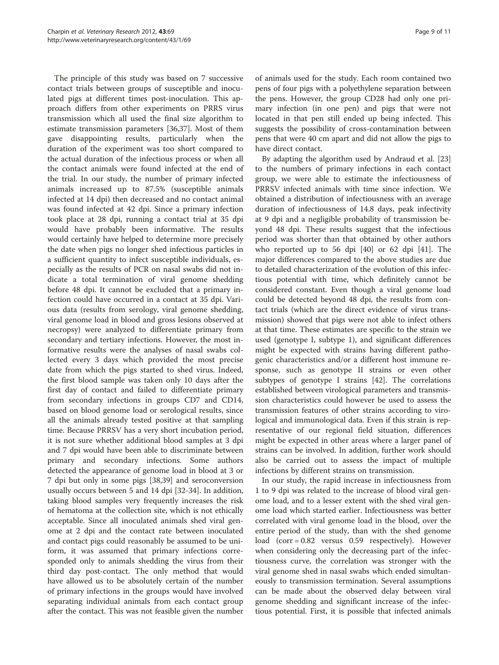The principle of this study was based on 7 successive contact trials between groups of susceptible and inoculated pigs at different times post-inoculation. This approach differs from other experiments on PRRS virus transmission which all used the final size algorithm to estimate transmission parameters [\[36,37\]](#page-10-0). Most of them gave disappointing results, particularly when the duration of the experiment was too short compared to the actual duration of the infectious process or when all the contact animals were found infected at the end of the trial. In our study, the number of primary infected animals increased up to 87.5% (susceptible animals infected at 14 dpi) then decreased and no contact animal was found infected at 42 dpi. Since a primary infection took place at 28 dpi, running a contact trial at 35 dpi would have probably been informative. The results would certainly have helped to determine more precisely the date when pigs no longer shed infectious particles in a sufficient quantity to infect susceptible individuals, especially as the results of PCR on nasal swabs did not indicate a total termination of viral genome shedding before 48 dpi. It cannot be excluded that a primary infection could have occurred in a contact at 35 dpi. Various data (results from serology, viral genome shedding, viral genome load in blood and gross lesions observed at necropsy) were analyzed to differentiate primary from secondary and tertiary infections. However, the most informative results were the analyses of nasal swabs collected every 3 days which provided the most precise date from which the pigs started to shed virus. Indeed, the first blood sample was taken only 10 days after the first day of contact and failed to differentiate primary from secondary infections in groups CD7 and CD14, based on blood genome load or serological results, since all the animals already tested positive at that sampling time. Because PRRSV has a very short incubation period, it is not sure whether additional blood samples at 3 dpi and 7 dpi would have been able to discriminate between primary and secondary infections. Some authors detected the appearance of genome load in blood at 3 or 7 dpi but only in some pigs [[38,39](#page-10-0)] and seroconversion usually occurs between 5 and 14 dpi [[32-34\]](#page-10-0). In addition, taking blood samples very frequently increases the risk of hematoma at the collection site, which is not ethically acceptable. Since all inoculated animals shed viral genome at 2 dpi and the contact rate between inoculated and contact pigs could reasonably be assumed to be uniform, it was assumed that primary infections corresponded only to animals shedding the virus from their third day post-contact. The only method that would have allowed us to be absolutely certain of the number of primary infections in the groups would have involved separating individual animals from each contact group after the contact. This was not feasible given the number

of animals used for the study. Each room contained two pens of four pigs with a polyethylene separation between the pens. However, the group CD28 had only one primary infection (in one pen) and pigs that were not located in that pen still ended up being infected. This suggests the possibility of cross-contamination between pens that were 40 cm apart and did not allow the pigs to have direct contact.

By adapting the algorithm used by Andraud et al. [[23](#page-10-0)] to the numbers of primary infections in each contact group, we were able to estimate the infectiousness of PRRSV infected animals with time since infection. We obtained a distribution of infectiousness with an average duration of infectiousness of 14.8 days, peak infectivity at 9 dpi and a negligible probability of transmission beyond 48 dpi. These results suggest that the infectious period was shorter than that obtained by other authors who reported up to 56 dpi [\[40](#page-10-0)] or 62 dpi [[41\]](#page-10-0). The major differences compared to the above studies are due to detailed characterization of the evolution of this infectious potential with time, which definitely cannot be considered constant. Even though a viral genome load could be detected beyond 48 dpi, the results from contact trials (which are the direct evidence of virus transmission) showed that pigs were not able to infect others at that time. These estimates are specific to the strain we used (genotype I, subtype 1), and significant differences might be expected with strains having different pathogenic characteristics and/or a different host immune response, such as genotype II strains or even other subtypes of genotype I strains [\[42\]](#page-10-0). The correlations established between virological parameters and transmission characteristics could however be used to assess the transmission features of other strains according to virological and immunological data. Even if this strain is representative of our regional field situation, differences might be expected in other areas where a larger panel of strains can be involved. In addition, further work should also be carried out to assess the impact of multiple infections by different strains on transmission.

In our study, the rapid increase in infectiousness from 1 to 9 dpi was related to the increase of blood viral genome load, and to a lesser extent with the shed viral genome load which started earlier. Infectiousness was better correlated with viral genome load in the blood, over the entire period of the study, than with the shed genome load (corr = 0.82 versus 0.59 respectively). However when considering only the decreasing part of the infectiousness curve, the correlation was stronger with the viral genome shed in nasal swabs which ended simultaneously to transmission termination. Several assumptions can be made about the observed delay between viral genome shedding and significant increase of the infectious potential. First, it is possible that infected animals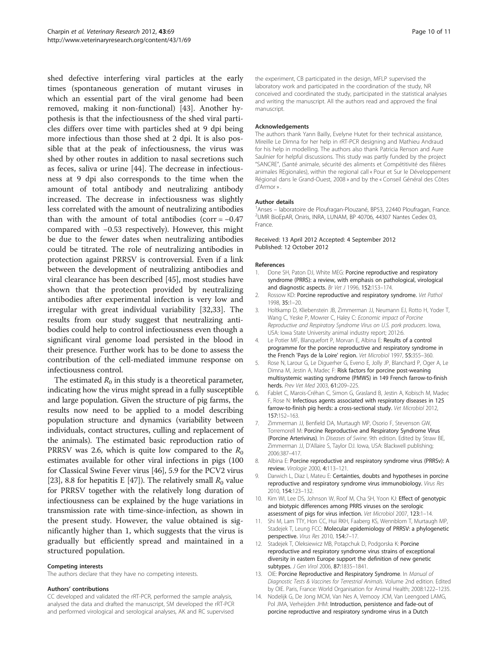<span id="page-9-0"></span>shed defective interfering viral particles at the early times (spontaneous generation of mutant viruses in which an essential part of the viral genome had been removed, making it non-functional) [[43\]](#page-10-0). Another hypothesis is that the infectiousness of the shed viral particles differs over time with particles shed at 9 dpi being more infectious than those shed at 2 dpi. It is also possible that at the peak of infectiousness, the virus was shed by other routes in addition to nasal secretions such as feces, saliva or urine [[44](#page-10-0)]. The decrease in infectiousness at 9 dpi also corresponds to the time when the amount of total antibody and neutralizing antibody increased. The decrease in infectiousness was slightly less correlated with the amount of neutralizing antibodies than with the amount of total antibodies (corr =  $-0.47$ ) compared with −0.53 respectively). However, this might be due to the fewer dates when neutralizing antibodies could be titrated. The role of neutralizing antibodies in protection against PRRSV is controversial. Even if a link between the development of neutralizing antibodies and viral clearance has been described [\[45](#page-10-0)], most studies have shown that the protection provided by neutralizing antibodies after experimental infection is very low and irregular with great individual variability [[32](#page-10-0),[33\]](#page-10-0). The results from our study suggest that neutralizing antibodies could help to control infectiousness even though a significant viral genome load persisted in the blood in their presence. Further work has to be done to assess the contribution of the cell-mediated immune response on infectiousness control.

The estimated  $R_0$  in this study is a theoretical parameter, indicating how the virus might spread in a fully susceptible and large population. Given the structure of pig farms, the results now need to be applied to a model describing population structure and dynamics (variability between individuals, contact structures, culling and replacement of the animals). The estimated basic reproduction ratio of PRRSV was 2.6, which is quite low compared to the  $R_0$ estimates available for other viral infections in pigs (100 for Classical Swine Fever virus [[46](#page-10-0)], 5.9 for the PCV2 virus [[23](#page-10-0)], 8.8 for hepatitis E [\[47\]](#page-10-0)). The relatively small  $R_0$  value for PRRSV together with the relatively long duration of infectiousness can be explained by the huge variations in transmission rate with time-since-infection, as shown in the present study. However, the value obtained is significantly higher than 1, which suggests that the virus is gradually but efficiently spread and maintained in a structured population.

#### Competing interests

The authors declare that they have no competing interests.

#### Authors' contributions

CC developed and validated the rRT-PCR, performed the sample analysis, analysed the data and drafted the manuscript, SM developed the rRT-PCR and performed virological and serological analyses, AK and RC supervised

the experiment, CB participated in the design, MFLP supervised the laboratory work and participated in the coordination of the study, NR conceived and coordinated the study, participated in the statistical analyses and writing the manuscript. All the authors read and approved the final manuscript.

#### Acknowledgements

The authors thank Yann Bailly, Evelyne Hutet for their technical assistance, Mireille Le Dimna for her help in rRT-PCR designing and Mathieu Andraud for his help in modelling. The authors also thank Patricia Renson and Aure Saulnier for helpful discussions. This study was partly funded by the project "SANCRE", (Santé animale, sécurité des aliments et Compétitivité des filières animales REgionales), within the regional call « Pour et Sur le Développement Régional dans le Grand-Ouest, 2008 » and by the « Conseil Général des Côtes d'Armor » .

#### Author details

<sup>1</sup> Anses – laboratoire de Ploufragan-Plouzané, BP53, 22440 Ploufragan, France.<br><sup>2</sup>LIMB BioEnAR, Oniris JNRA, LUNAM, BR 40706, 44307 Nantes Cedex 03. UMR BioEpAR, Oniris, INRA, LUNAM, BP 40706, 44307 Nantes Cedex 03, France.

#### Received: 13 April 2012 Accepted: 4 September 2012 Published: 12 October 2012

#### References

- 1. Done SH, Paton DJ, White MEG: Porcine reproductive and respiratory syndrome (PRRS): a review, with emphasis on pathological, virological and diagnostic aspects. Br Vet J 1996, 152:153-174.
- 2. Rossow KD: Porcine reproductive and respiratory syndrome. Vet Pathol 1998, 35:1–20.
- 3. Holtkamp D, Kliebenstein JB, Zimmerman JJ, Neumann EJ, Rotto H, Yoder T, Wang C, Yeske P, Mowrer C, Haley C: Economic impact of Porcine Reproductive and Respiratory Syndrome Virus on U.S. pork producers. Iowa, USA: Iowa State University animal industry report; 2012:6.
- 4. Le Potier MF, Blanquefort P, Morvan E, Albina E: Results of a control programme for the porcine reproductive and respiratory syndrome in the French 'Pays de la Loire' region. Vet Microbiol 1997, 55:355–360.
- 5. Rose N, Larour G, Le Diguerher G, Eveno E, Jolly JP, Blanchard P, Oger A, Le Dimna M, Jestin A, Madec F: Risk factors for porcine post-weaning multisystemic wasting syndrome (PMWS) in 149 French farrow-to-finish herds. Prev Vet Med 2003, 61:209–225.
- 6. Fablet C, Marois-Créhan C, Simon G, Grasland B, Jestin A, Kobisch M, Madec F, Rose N: Infectious agents associated with respiratory diseases in 125 farrow-to-finish pig herds: a cross-sectional study. Vet Microbiol 2012, 157:152–163.
- 7. Zimmerman JJ, Benfield DA, Murtaugh MP, Osorio F, Stevenson GW, Torremorell M: Porcine Reproductive and Respiratory Syndrome Virus (Porcine Arterivirus). In Diseases of Swine. 9th edition. Edited by Straw BE, Zimmerman JJ, D'Allaire S, Taylor DJ. Iowa, USA: Blackwell publishing; 2006:387–417.
- 8. Albina E: Porcine reproductive and respiratory syndrome virus (PRRSv): A review. Virologie 2000, 4:113–121.
- 9. Darwich L, Diaz I, Mateu E: Certainties, doubts and hypotheses in porcine reproductive and respiratory syndrome virus immunobiology. Virus Res 2010, 154:123–132.
- 10. Kim WI, Lee DS, Johnson W, Roof M, Cha SH, Yoon KJ: Effect of genotypic and biotypic differences among PRRS viruses on the serologic assessment of pigs for virus infection. Vet Microbiol 2007, 123:1–14.
- 11. Shi M, Lam TTY, Hon CC, Hui RKH, Faaberg KS, Wennblom T, Murtaugh MP, Stadejek T, Leung FCC: Molecular epidemiology of PRRSV: a phylogenetic perspective. Virus Res 2010, 154:7–17.
- 12. Stadejek T, Oleksiewicz MB, Potapchuk D, Podgorska K: Porcine reproductive and respiratory syndrome virus strains of exceptional diversity in eastern Europe support the definition of new genetic subtypes. J Gen Virol 2006, 87:1835-1841.
- 13. OIE: Porcine Reproductive and Respiratory Syndrome. In Manual of Diagnostic Tests & Vaccines for Terrestrial Animals. Volume 2nd edition. Edited by OIE. Paris, France: World Organisation for Animal Health; 2008:1222–1235.
- 14. Nodelijk G, De Jong MCM, Van Nes A, Vernooy JCM, Van Leengoed LAMG, Pol JMA, Verheijden JHM: Introduction, persistence and fade-out of porcine reproductive and respiratory syndrome virus in a Dutch